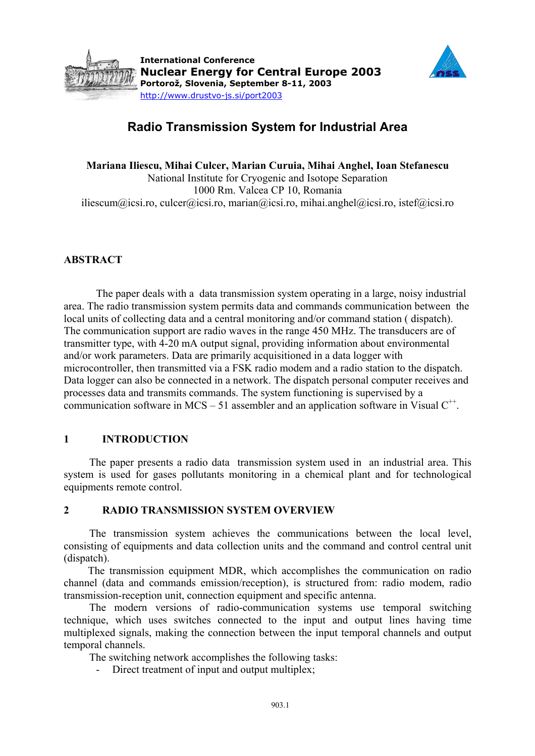



# **Radio Transmission System for Industrial Area**

**Mariana Iliescu, Mihai Culcer, Marian Curuia, Mihai Anghel, Ioan Stefanescu**  National Institute for Cryogenic and Isotope Separation 1000 Rm. Valcea CP 10, Romania iliescum@icsi.ro, culcer@icsi.ro, marian@icsi.ro, mihai.anghel@icsi.ro, istef@icsi.ro

## **ABSTRACT**

The paper deals with a data transmission system operating in a large, noisy industrial area. The radio transmission system permits data and commands communication between the local units of collecting data and a central monitoring and/or command station ( dispatch). The communication support are radio waves in the range 450 MHz. The transducers are of transmitter type, with 4-20 mA output signal, providing information about environmental and/or work parameters. Data are primarily acquisitioned in a data logger with microcontroller, then transmitted via a FSK radio modem and a radio station to the dispatch. Data logger can also be connected in a network. The dispatch personal computer receives and processes data and transmits commands. The system functioning is supervised by a communication software in MCS – 51 assembler and an application software in Visual  $C^{++}$ .

## **1 INTRODUCTION**

The paper presents a radio data transmission system used in an industrial area. This system is used for gases pollutants monitoring in a chemical plant and for technological equipments remote control.

## **2 RADIO TRANSMISSION SYSTEM OVERVIEW**

The transmission system achieves the communications between the local level, consisting of equipments and data collection units and the command and control central unit (dispatch).

The transmission equipment MDR, which accomplishes the communication on radio channel (data and commands emission/reception), is structured from: radio modem, radio transmission-reception unit, connection equipment and specific antenna.

The modern versions of radio-communication systems use temporal switching technique, which uses switches connected to the input and output lines having time multiplexed signals, making the connection between the input temporal channels and output temporal channels.

The switching network accomplishes the following tasks:

- Direct treatment of input and output multiplex;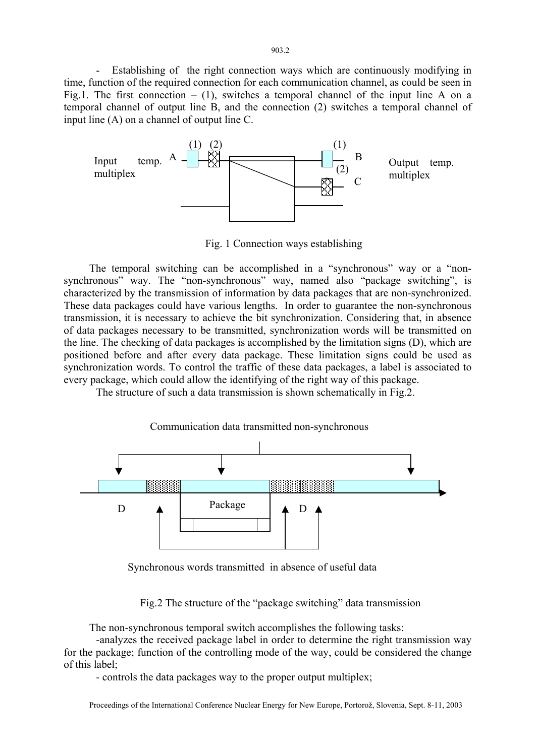Establishing of the right connection ways which are continuously modifying in time, function of the required connection for each communication channel, as could be seen in Fig.1. The first connection  $- (1)$ , switches a temporal channel of the input line A on a temporal channel of output line B, and the connection (2) switches a temporal channel of input line (A) on a channel of output line C.



Fig. 1 Connection ways establishing

The temporal switching can be accomplished in a "synchronous" way or a "nonsynchronous" way. The "non-synchronous" way, named also "package switching", is characterized by the transmission of information by data packages that are non-synchronized. These data packages could have various lengths. In order to guarantee the non-synchronous transmission, it is necessary to achieve the bit synchronization. Considering that, in absence of data packages necessary to be transmitted, synchronization words will be transmitted on the line. The checking of data packages is accomplished by the limitation signs (D), which are positioned before and after every data package. These limitation signs could be used as synchronization words. To control the traffic of these data packages, a label is associated to every package, which could allow the identifying of the right way of this package.

The structure of such a data transmission is shown schematically in Fig.2.



Synchronous words transmitted in absence of useful data

Fig.2 The structure of the "package switching" data transmission

The non-synchronous temporal switch accomplishes the following tasks:

 -analyzes the received package label in order to determine the right transmission way for the package; function of the controlling mode of the way, could be considered the change of this label;

- controls the data packages way to the proper output multiplex;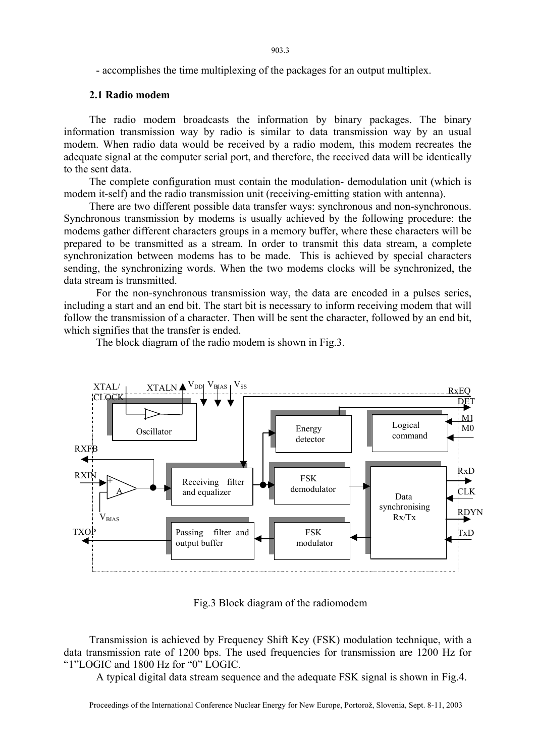- accomplishes the time multiplexing of the packages for an output multiplex.

## **2.1 Radio modem**

The radio modem broadcasts the information by binary packages. The binary information transmission way by radio is similar to data transmission way by an usual modem. When radio data would be received by a radio modem, this modem recreates the adequate signal at the computer serial port, and therefore, the received data will be identically to the sent data.

The complete configuration must contain the modulation- demodulation unit (which is modem it-self) and the radio transmission unit (receiving-emitting station with antenna).

There are two different possible data transfer ways: synchronous and non-synchronous. Synchronous transmission by modems is usually achieved by the following procedure: the modems gather different characters groups in a memory buffer, where these characters will be prepared to be transmitted as a stream. In order to transmit this data stream, a complete synchronization between modems has to be made. This is achieved by special characters sending, the synchronizing words. When the two modems clocks will be synchronized, the data stream is transmitted.

 For the non-synchronous transmission way, the data are encoded in a pulses series, including a start and an end bit. The start bit is necessary to inform receiving modem that will follow the transmission of a character. Then will be sent the character, followed by an end bit, which signifies that the transfer is ended.

The block diagram of the radio modem is shown in Fig.3.



Fig.3 Block diagram of the radiomodem

Transmission is achieved by Frequency Shift Key (FSK) modulation technique, with a data transmission rate of 1200 bps. The used frequencies for transmission are 1200 Hz for "1"LOGIC and 1800 Hz for "0" LOGIC.

A typical digital data stream sequence and the adequate FSK signal is shown in Fig.4.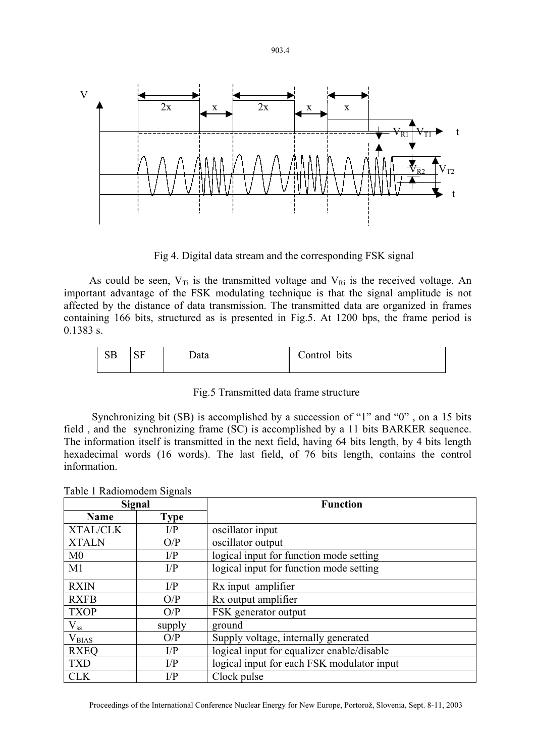

Fig 4. Digital data stream and the corresponding FSK signal

As could be seen,  $V_{Ti}$  is the transmitted voltage and  $V_{Ri}$  is the received voltage. An important advantage of the FSK modulating technique is that the signal amplitude is not affected by the distance of data transmission. The transmitted data are organized in frames containing 166 bits, structured as is presented in Fig.5. At 1200 bps, the frame period is 0.1383 s.

| $\alpha$ rn | $\sim$ $\sim$ | Data | Control |
|-------------|---------------|------|---------|
| ືື          | υı            |      | bits    |
|             |               |      |         |

Fig.5 Transmitted data frame structure

 Synchronizing bit (SB) is accomplished by a succession of "1" and "0" , on a 15 bits field , and the synchronizing frame (SC) is accomplished by a 11 bits BARKER sequence. The information itself is transmitted in the next field, having 64 bits length, by 4 bits length hexadecimal words (16 words). The last field, of 76 bits length, contains the control information.

| Signal          |             | <b>Function</b>                            |  |
|-----------------|-------------|--------------------------------------------|--|
| <b>Name</b>     | <b>Type</b> |                                            |  |
| <b>XTAL/CLK</b> | I/P         | oscillator input                           |  |
| <b>XTALN</b>    | O/P         | oscillator output                          |  |
| M <sub>0</sub>  | I/P         | logical input for function mode setting    |  |
| M1              | I/P         | logical input for function mode setting    |  |
| <b>RXIN</b>     | I/P         | Rx input amplifier                         |  |
| <b>RXFB</b>     | O/P         | Rx output amplifier                        |  |
| <b>TXOP</b>     | O/P         | FSK generator output                       |  |
| $\rm V_{ss}$    | supply      | ground                                     |  |
| $V_{BIAS}$      | O/P         | Supply voltage, internally generated       |  |
| <b>RXEQ</b>     | I/P         | logical input for equalizer enable/disable |  |
| <b>TXD</b>      | I/P         | logical input for each FSK modulator input |  |
| <b>CLK</b>      | I/P         | Clock pulse                                |  |

Table 1 Radiomodem Signals

Proceedings of the International Conference Nuclear Energy for New Europe, Portorož, Slovenia, Sept. 8-11, 2003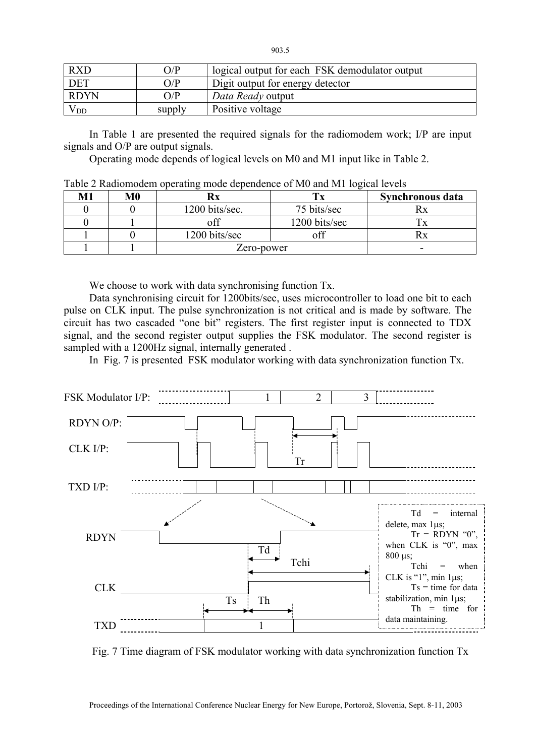| <b>RXD</b>  | O/P    | logical output for each FSK demodulator output |
|-------------|--------|------------------------------------------------|
| <b>DET</b>  | O/P    | Digit output for energy detector               |
| <b>RDYN</b> | O/P    | Data Ready output                              |
| V DD        | supply | Positive voltage                               |

In Table 1 are presented the required signals for the radiomodem work; I/P are input signals and O/P are output signals.

Operating mode depends of logical levels on M0 and M1 input like in Table 2.

| M1 | M0 |                |               | Synchronous data |
|----|----|----------------|---------------|------------------|
|    |    | 1200 bits/sec. | 75 bits/sec   |                  |
|    |    |                | 1200 bits/sec |                  |
|    |    | 1200 bits/sec  | off           |                  |
|    |    | Zero-power     |               | -                |

Table 2 Radiomodem operating mode dependence of M0 and M1 logical levels

We choose to work with data synchronising function Tx.

Data synchronising circuit for 1200bits/sec, uses microcontroller to load one bit to each pulse on CLK input. The pulse synchronization is not critical and is made by software. The circuit has two cascaded "one bit" registers. The first register input is connected to TDX signal, and the second register output supplies the FSK modulator. The second register is sampled with a 1200Hz signal, internally generated .

In Fig. 7 is presented FSK modulator working with data synchronization function Tx.



Fig. 7 Time diagram of FSK modulator working with data synchronization function Tx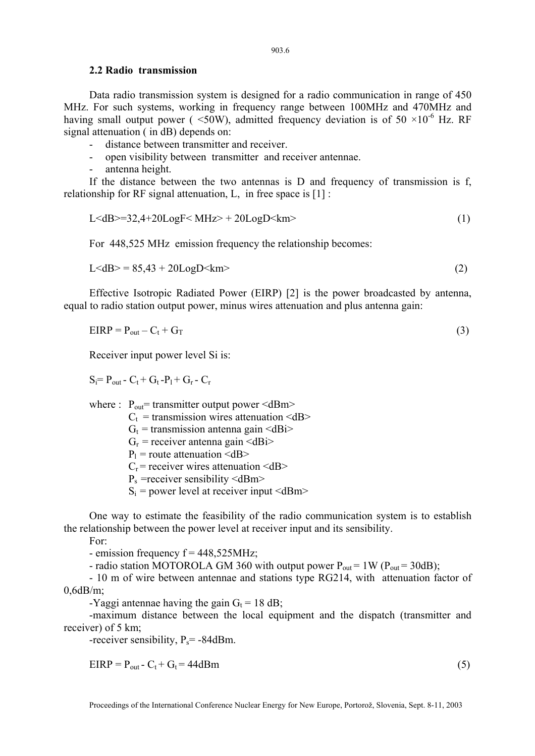#### **2.2 Radio transmission**

Data radio transmission system is designed for a radio communication in range of 450 MHz. For such systems, working in frequency range between 100MHz and 470MHz and having small output power (  $\leq 50W$ ), admitted frequency deviation is of  $50 \times 10^{-6}$  Hz. RF signal attenuation ( in dB) depends on:

- distance between transmitter and receiver.
- open visibility between transmitter and receiver antennae.
- antenna height.

If the distance between the two antennas is D and frequency of transmission is f, relationship for RF signal attenuation, L, in free space is [1] :

$$
L < dB> = 32,4+20LogF < MHz> + 20LogD < km>
$$
 (1)

For 448,525 MHz emission frequency the relationship becomes:

$$
L < dB > = 85,43 + 20 \text{LogD} < km
$$
\n
$$
\tag{2}
$$

Effective Isotropic Radiated Power (EIRP) [2] is the power broadcasted by antenna, equal to radio station output power, minus wires attenuation and plus antenna gain:

$$
EIRP = P_{out} - C_t + G_T \tag{3}
$$

Receiver input power level Si is:

 $S_i = P_{out} - C_t + G_t - P_1 + G_r - C_r$ 

where :  $P_{out}$  = transmitter output power <dBm>

 $C_t$  = transmission wires attenuation <dB>

 $G_t$  = transmission antenna gain <dBi>

- $G_r$  = receiver antenna gain <dBi>
- $P_1$  = route attenuation <dB>

 $C_r$  = receiver wires attenuation  $\langle dB \rangle$ 

 $P_s$  =receiver sensibility <dBm>

 $S_i$  = power level at receiver input  $\langle dBm \rangle$ 

One way to estimate the feasibility of the radio communication system is to establish the relationship between the power level at receiver input and its sensibility.

For:

- emission frequency  $f = 448,525 MHz$ ;

- radio station MOTOROLA GM 360 with output power  $P_{out} = 1 W (P_{out} = 30 dB)$ ;

- 10 m of wire between antennae and stations type RG214, with attenuation factor of 0,6dB/m;

-Yaggi antennae having the gain  $G_t = 18$  dB;

-maximum distance between the local equipment and the dispatch (transmitter and receiver) of 5 km;

-receiver sensibility,  $P_s$ = -84dBm.

$$
EIRP = P_{out} - C_t + G_t = 44dBm
$$
\n<sup>(5)</sup>